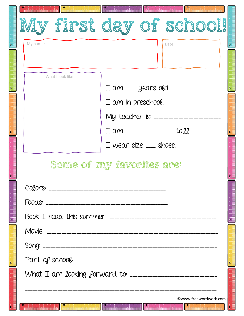| y first day of school!                                                                                       |
|--------------------------------------------------------------------------------------------------------------|
| My name:<br>Date:                                                                                            |
|                                                                                                              |
| What I look like:                                                                                            |
| I am ___ years old.                                                                                          |
| I am in preschool.                                                                                           |
| My teacher is: ______                                                                                        |
| I am ________________ tall.                                                                                  |
| I wear size $\overline{\phantom{a}}$ shoes.                                                                  |
| Some of my favorites are:                                                                                    |
|                                                                                                              |
|                                                                                                              |
|                                                                                                              |
|                                                                                                              |
|                                                                                                              |
|                                                                                                              |
|                                                                                                              |
|                                                                                                              |
| ©www.freewordwork.com<br><b>Telephone Additional Property</b><br>$\prod_{i=1}^{n}$<br>The state of the final |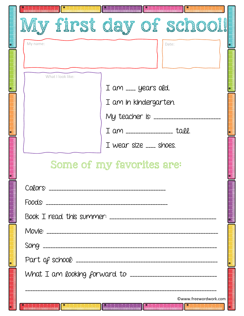|                   | first day of school!                                                                                           |
|-------------------|----------------------------------------------------------------------------------------------------------------|
| My name:          | Date:                                                                                                          |
|                   |                                                                                                                |
| What I look like: |                                                                                                                |
|                   | I am ___ years old.                                                                                            |
|                   | I am in kindergarten.                                                                                          |
|                   | My teacher is: _______                                                                                         |
|                   | I am ________________ tall.                                                                                    |
|                   | I wear size ___ shoes.                                                                                         |
|                   | Some of my favorites are:                                                                                      |
|                   |                                                                                                                |
|                   |                                                                                                                |
|                   |                                                                                                                |
|                   |                                                                                                                |
|                   |                                                                                                                |
|                   |                                                                                                                |
|                   |                                                                                                                |
|                   |                                                                                                                |
|                   | ©www.freewordwork.com                                                                                          |
|                   | 1944 belada dahal adalah dalam dalam dalam belada dalam belada dalam belada dalam belada dalam berasa dalam be |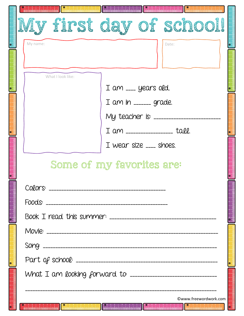| r first day of school!<br>My name:<br>Date:<br>What I look like:<br>I am ___ years old.<br>My teacher is: _______<br>I am ________________ tall. |
|--------------------------------------------------------------------------------------------------------------------------------------------------|
|                                                                                                                                                  |
|                                                                                                                                                  |
|                                                                                                                                                  |
|                                                                                                                                                  |
|                                                                                                                                                  |
|                                                                                                                                                  |
|                                                                                                                                                  |
|                                                                                                                                                  |
| I wear size $\overline{\phantom{a}}$ shoes.                                                                                                      |
| Some of my favorites are:                                                                                                                        |
|                                                                                                                                                  |
|                                                                                                                                                  |
|                                                                                                                                                  |
|                                                                                                                                                  |
|                                                                                                                                                  |
|                                                                                                                                                  |
|                                                                                                                                                  |
| ©www.freewordwork.com<br><b>121 District Actual 121 de la facta de la facta de la facta de la facta de la facta de la facta de la facta de</b>   |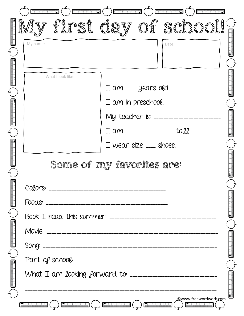| <b>Expression (CO) Communication</b> (CO)<br>nungungan (<br>أواخ فالمرمز فالمرمز فالمراف                                                                                                                                                                                                                               |
|------------------------------------------------------------------------------------------------------------------------------------------------------------------------------------------------------------------------------------------------------------------------------------------------------------------------|
| first day of school!<br>My name:<br>Date:                                                                                                                                                                                                                                                                              |
|                                                                                                                                                                                                                                                                                                                        |
| What I look like:<br>I am ___ years old.                                                                                                                                                                                                                                                                               |
| I am in preschool.<br>My teacher is: _______                                                                                                                                                                                                                                                                           |
| I am ________________ tall.<br>I wear size $\overline{\phantom{a}}$ shoes.                                                                                                                                                                                                                                             |
| Some of my favorites are:                                                                                                                                                                                                                                                                                              |
|                                                                                                                                                                                                                                                                                                                        |
|                                                                                                                                                                                                                                                                                                                        |
|                                                                                                                                                                                                                                                                                                                        |
|                                                                                                                                                                                                                                                                                                                        |
| Qwww.freewordwork,com<br>$\boxed{\text{Rindertandial}} \left( \begin{array}{c} \end{array} \right) \left( \begin{array}{c} \text{Rindertandial} \end{array} \right) \left( \begin{array}{c} \end{array} \right) \left( \begin{array}{c} \text{Rindertandial} \end{array} \right)$<br>) ا <u>لمندار المندار المتع</u> ا |

٦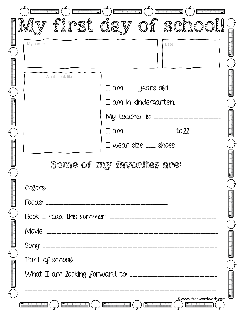| <b>ENTRENTIAL CONTRACTOR</b>                                                                                                       |  |
|------------------------------------------------------------------------------------------------------------------------------------|--|
| first day of school!                                                                                                               |  |
| My name:<br>Date:                                                                                                                  |  |
|                                                                                                                                    |  |
| What I look like:                                                                                                                  |  |
| I am ___ years old.                                                                                                                |  |
| I am in kindergarten.                                                                                                              |  |
| My teacher is: ________                                                                                                            |  |
| I am ________________ tall.                                                                                                        |  |
| I wear size $\overline{\phantom{a}}$ shoes.                                                                                        |  |
| Some of my favorites are:                                                                                                          |  |
|                                                                                                                                    |  |
|                                                                                                                                    |  |
|                                                                                                                                    |  |
|                                                                                                                                    |  |
|                                                                                                                                    |  |
|                                                                                                                                    |  |
|                                                                                                                                    |  |
|                                                                                                                                    |  |
|                                                                                                                                    |  |
| <b>Qwww.freewordwork.com</b><br>$[2.11111111111]$ $($ $)$ $[2.111111111111]$ $($ $)$ $[2.111111111]$ $($ $)$ $[2.11111111111]$ $($ |  |

٦